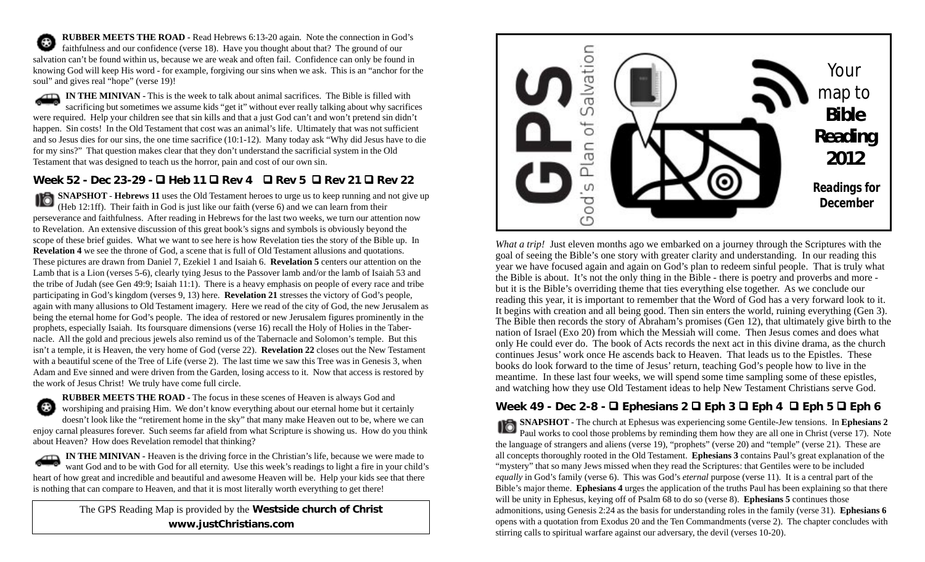**RUBBER MEETS THE ROAD -** Read Hebrews 6:13-20 again. Note the connection in God's € faithfulness and our confidence (verse 18). Have you thought about that? The ground of our salvation can't be found within us, because we are weak and often fail. Confidence can only be found in knowing God will keep His word - for example, forgiving our sins when we ask. This is an "anchor for the soul" and gives real "hope" (verse 19)!

**IN THE MINIVAN -** This is the week to talk about animal sacrifices. The Bible is filled with sacrificing but sometimes we assume kids "get it" without ever really talking about why sacrifices were required. Help your children see that sin kills and that a just God can't and won't pretend sin didn't happen. Sin costs! In the Old Testament that cost was an animal's life. Ultimately that was not sufficient and so Jesus dies for our sins, the one time sacrifice (10:1-12). Many today ask "Why did Jesus have to die for my sins?" That question makes clear that they don't understand the sacrificial system in the Old Testament that was designed to teach us the horror, pain and cost of our own sin.

## **Week 52 - Dec 23-29 - Heb 11 Rev 4 Rev 5 Rev 21 Rev 22**

**SNAPSHOT - Hebrews 11** uses the Old Testament heroes to urge us to keep running and not give up (Heb 12:1ff). Their faith in God is just like our faith (verse 6) and we can learn from their perseverance and faithfulness. After reading in Hebrews for the last two weeks, we turn our attention now to Revelation. An extensive discussion of this great book's signs and symbols is obviously beyond the scope of these brief guides. What we want to see here is how Revelation ties the story of the Bible up. In **Revelation 4** we see the throne of God, a scene that is full of Old Testament allusions and quotations. These pictures are drawn from Daniel 7, Ezekiel 1 and Isaiah 6. **Revelation 5** centers our attention on the Lamb that is a Lion (verses 5-6), clearly tying Jesus to the Passover lamb and/or the lamb of Isaiah 53 and the tribe of Judah (see Gen 49:9; Isaiah 11:1). There is a heavy emphasis on people of every race and tribe participating in God's kingdom (verses 9, 13) here. **Revelation 21** stresses the victory of God's people, again with many allusions to Old Testament imagery. Here we read of the city of God, the new Jerusalem as being the eternal home for God's people. The idea of restored or new Jerusalem figures prominently in the prophets, especially Isaiah. Its foursquare dimensions (verse 16) recall the Holy of Holies in the Tabernacle. All the gold and precious jewels also remind us of the Tabernacle and Solomon's temple. But this isn't a temple, it is Heaven, the very home of God (verse 22). **Revelation 22** closes out the New Testament with a beautiful scene of the Tree of Life (verse 2). The last time we saw this Tree was in Genesis 3, when Adam and Eve sinned and were driven from the Garden, losing access to it. Now that access is restored by the work of Jesus Christ! We truly have come full circle.

**RUBBER MEETS THE ROAD -** The focus in these scenes of Heaven is always God and worshiping and praising Him. We don't know everything about our eternal home but it certainly doesn't look like the "retirement home in the sky" that many make Heaven out to be, where we can enjoy carnal pleasures forever. Such seems far afield from what Scripture is showing us. How do you think about Heaven? How does Revelation remodel that thinking?

**IN THE MINIVAN -** Heaven is the driving force in the Christian's life, because we were made to want God and to be with God for all eternity. Use this week's readings to light a fire in your child's heart of how great and incredible and beautiful and awesome Heaven will be. Help your kids see that there is nothing that can compare to Heaven, and that it is most literally worth everything to get there!

> The GPS Reading Map is provided by the **Westside church of Christ www.justChristians.com**



*What a trip!* Just eleven months ago we embarked on a journey through the Scriptures with the goal of seeing the Bible's one story with greater clarity and understanding. In our reading this year we have focused again and again on God's plan to redeem sinful people. That is truly what the Bible is about. It's not the only thing in the Bible - there is poetry and proverbs and more but it is the Bible's overriding theme that ties everything else together. As we conclude our reading this year, it is important to remember that the Word of God has a very forward look to it. It begins with creation and all being good. Then sin enters the world, ruining everything (Gen 3). The Bible then records the story of Abraham's promises (Gen 12), that ultimately give birth to the nation of Israel (Exo 20) from which the Messiah will come. Then Jesus comes and does what only He could ever do. The book of Acts records the next act in this divine drama, as the church continues Jesus' work once He ascends back to Heaven. That leads us to the Epistles. These books do look forward to the time of Jesus' return, teaching God's people how to live in the meantime. In these last four weeks, we will spend some time sampling some of these epistles, and watching how they use Old Testament ideas to help New Testament Christians serve God.

## **Week 49 - Dec 2-8 - Ephesians 2 Eph 3 Eph 4 Eph 5 Eph 6**

**SNAPSHOT** - The church at Ephesus was experiencing some Gentile-Jew tensions. In **Ephesians 2** Paul works to cool those problems by reminding them how they are all one in Christ (verse 17). Note the language of strangers and aliens (verse 19), "prophets" (verse 20) and "temple" (verse 21). These are all concepts thoroughly rooted in the Old Testament. **Ephesians 3** contains Paul's great explanation of the "mystery" that so many Jews missed when they read the Scriptures: that Gentiles were to be included *equally* in God's family (verse 6). This was God's *eternal* purpose (verse 11). It is a central part of the Bible's major theme. **Ephesians 4** urges the application of the truths Paul has been explaining so that there will be unity in Ephesus, keying off of Psalm 68 to do so (verse 8). **Ephesians 5** continues those admonitions, using Genesis 2:24 as the basis for understanding roles in the family (verse 31). **Ephesians 6** opens with a quotation from Exodus 20 and the Ten Commandments (verse 2). The chapter concludes with stirring calls to spiritual warfare against our adversary, the devil (verses 10-20).